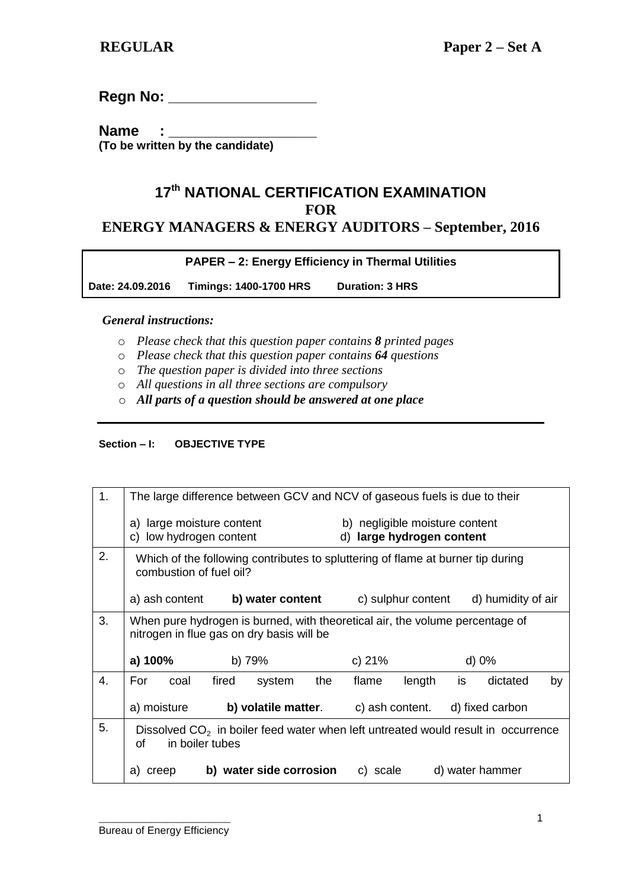**Regn No: \_\_\_\_\_\_\_\_\_\_\_\_\_\_\_\_\_\_**

Name : **(To be written by the candidate)**

## **17 th NATIONAL CERTIFICATION EXAMINATION FOR ENERGY MANAGERS & ENERGY AUDITORS – September, 2016**

### **PAPER – 2: Energy Efficiency in Thermal Utilities**

**Date: 24.09.2016 Timings: 1400-1700 HRS Duration: 3 HRS** 

### *General instructions:*

- o *Please check that this question paper contains 8 printed pages*
- o *Please check that this question paper contains 64 questions*
- o *The question paper is divided into three sections*
- o *All questions in all three sections are compulsory*
- o *All parts of a question should be answered at one place*

### **Section – I: OBJECTIVE TYPE**

| 1. | The large difference between GCV and NCV of gaseous fuels is due to their                                                 |       |                         |                                                             |          |                 |    |                                                               |    |
|----|---------------------------------------------------------------------------------------------------------------------------|-------|-------------------------|-------------------------------------------------------------|----------|-----------------|----|---------------------------------------------------------------|----|
|    | a) large moisture content<br>low hydrogen content<br>C)                                                                   |       |                         | b) negligible moisture content<br>d) large hydrogen content |          |                 |    |                                                               |    |
| 2. | Which of the following contributes to spluttering of flame at burner tip during<br>combustion of fuel oil?                |       |                         |                                                             |          |                 |    |                                                               |    |
|    | a) ash content                                                                                                            |       |                         |                                                             |          |                 |    | <b>b)</b> water content c) sulphur content d) humidity of air |    |
| 3. | When pure hydrogen is burned, with theoretical air, the volume percentage of<br>nitrogen in flue gas on dry basis will be |       |                         |                                                             |          |                 |    |                                                               |    |
|    | a) 100%                                                                                                                   |       | b) 79%                  |                                                             | c) $21%$ |                 |    | $d)$ 0%                                                       |    |
| 4. | For<br>coal                                                                                                               | fired | system                  | the                                                         | flame    | length          | is | dictated                                                      | by |
|    | a) moisture                                                                                                               |       | b) volatile matter.     |                                                             |          | c) ash content. |    | d) fixed carbon                                               |    |
| 5. | Dissolved $CO2$ in boiler feed water when left untreated would result in occurrence<br>in boiler tubes<br>of              |       |                         |                                                             |          |                 |    |                                                               |    |
|    | creep<br>a)                                                                                                               |       | b) water side corrosion |                                                             | c) scale |                 |    | d) water hammer                                               |    |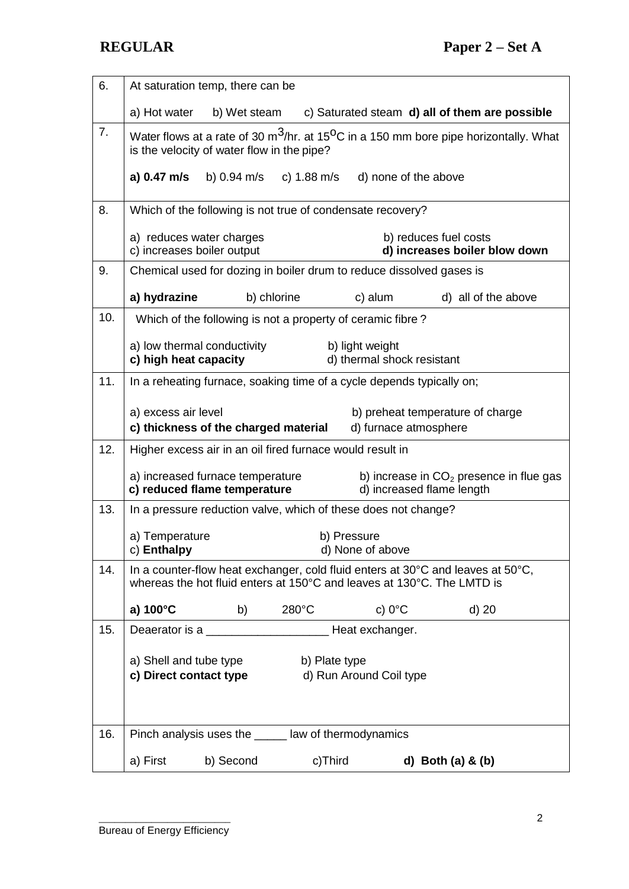| 6.  | At saturation temp, there can be                                                                                                                          |                       |                                               |                                                        |
|-----|-----------------------------------------------------------------------------------------------------------------------------------------------------------|-----------------------|-----------------------------------------------|--------------------------------------------------------|
|     | a) Hot water                                                                                                                                              | b) Wet steam          |                                               | c) Saturated steam d) all of them are possible         |
| 7.  | Water flows at a rate of 30 $m^3$ /hr. at 15 <sup>o</sup> C in a 150 mm bore pipe horizontally. What<br>is the velocity of water flow in the pipe?        |                       |                                               |                                                        |
|     | b) 0.94 m/s<br>a) 0.47 m/s                                                                                                                                | c) $1.88 \text{ m/s}$ | d) none of the above                          |                                                        |
| 8.  | Which of the following is not true of condensate recovery?                                                                                                |                       |                                               |                                                        |
|     | a) reduces water charges<br>c) increases boiler output                                                                                                    |                       |                                               | b) reduces fuel costs<br>d) increases boiler blow down |
| 9.  | Chemical used for dozing in boiler drum to reduce dissolved gases is                                                                                      |                       |                                               |                                                        |
|     | a) hydrazine                                                                                                                                              | b) chlorine           | c) alum                                       | d) all of the above                                    |
| 10. | Which of the following is not a property of ceramic fibre?                                                                                                |                       |                                               |                                                        |
|     | a) low thermal conductivity<br>c) high heat capacity                                                                                                      |                       | b) light weight<br>d) thermal shock resistant |                                                        |
| 11. | In a reheating furnace, soaking time of a cycle depends typically on;                                                                                     |                       |                                               |                                                        |
|     | a) excess air level<br>c) thickness of the charged material                                                                                               |                       | d) furnace atmosphere                         | b) preheat temperature of charge                       |
| 12. | Higher excess air in an oil fired furnace would result in                                                                                                 |                       |                                               |                                                        |
|     | a) increased furnace temperature<br>c) reduced flame temperature                                                                                          |                       | d) increased flame length                     | b) increase in $CO2$ presence in flue gas              |
| 13. | In a pressure reduction valve, which of these does not change?                                                                                            |                       |                                               |                                                        |
|     | a) Temperature<br>c) Enthalpy                                                                                                                             |                       | b) Pressure<br>d) None of above               |                                                        |
| 14. | In a counter-flow heat exchanger, cold fluid enters at 30°C and leaves at 50°C,<br>whereas the hot fluid enters at 150°C and leaves at 130°C. The LMTD is |                       |                                               |                                                        |
|     | a) 100°C<br>b)                                                                                                                                            | $280^{\circ}$ C       | c) $0^{\circ}$ C                              | d) 20                                                  |
| 15. |                                                                                                                                                           |                       |                                               |                                                        |
|     | a) Shell and tube type                                                                                                                                    | b) Plate type         |                                               |                                                        |
|     | c) Direct contact type                                                                                                                                    |                       | d) Run Around Coil type                       |                                                        |
|     |                                                                                                                                                           |                       |                                               |                                                        |
| 16. | Pinch analysis uses the ______ law of thermodynamics                                                                                                      |                       |                                               |                                                        |
|     | a) First<br>b) Second                                                                                                                                     | c)Third               |                                               | d) Both $(a)$ & $(b)$                                  |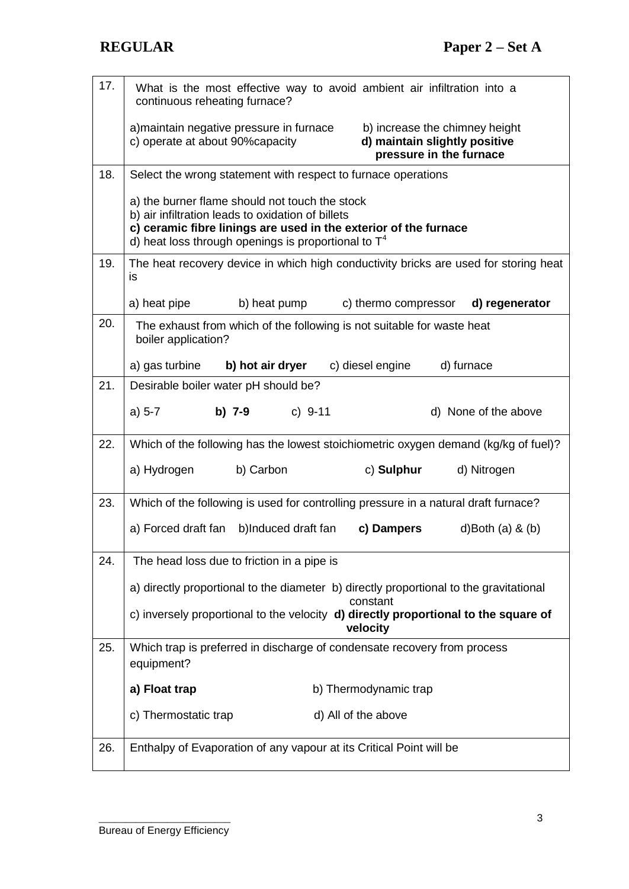| 17. | What is the most effective way to avoid ambient air infiltration into a<br>continuous reheating furnace?                                                                                                                          |  |  |  |
|-----|-----------------------------------------------------------------------------------------------------------------------------------------------------------------------------------------------------------------------------------|--|--|--|
|     | a) maintain negative pressure in furnace<br>b) increase the chimney height<br>d) maintain slightly positive<br>c) operate at about 90% capacity<br>pressure in the furnace                                                        |  |  |  |
| 18. | Select the wrong statement with respect to furnace operations                                                                                                                                                                     |  |  |  |
|     | a) the burner flame should not touch the stock<br>b) air infiltration leads to oxidation of billets<br>c) ceramic fibre linings are used in the exterior of the furnace<br>d) heat loss through openings is proportional to $T^4$ |  |  |  |
| 19. | The heat recovery device in which high conductivity bricks are used for storing heat<br>is                                                                                                                                        |  |  |  |
|     | a) heat pipe<br>b) heat pump<br>c) thermo compressor<br>d) regenerator                                                                                                                                                            |  |  |  |
| 20. | The exhaust from which of the following is not suitable for waste heat<br>boiler application?                                                                                                                                     |  |  |  |
|     | b) hot air dryer<br>c) diesel engine<br>d) furnace<br>a) gas turbine                                                                                                                                                              |  |  |  |
| 21. | Desirable boiler water pH should be?                                                                                                                                                                                              |  |  |  |
|     | c) $9-11$<br>$a) 5-7$<br>b) $7-9$<br>d) None of the above                                                                                                                                                                         |  |  |  |
| 22. | Which of the following has the lowest stoichiometric oxygen demand (kg/kg of fuel)?                                                                                                                                               |  |  |  |
|     | b) Carbon<br>c) Sulphur<br>a) Hydrogen<br>d) Nitrogen                                                                                                                                                                             |  |  |  |
| 23. | Which of the following is used for controlling pressure in a natural draft furnace?                                                                                                                                               |  |  |  |
|     | a) Forced draft fan b)Induced draft fan<br>c) Dampers<br>d)Both $(a)$ & $(b)$                                                                                                                                                     |  |  |  |
| 24. | The head loss due to friction in a pipe is                                                                                                                                                                                        |  |  |  |
|     | a) directly proportional to the diameter b) directly proportional to the gravitational<br>constant                                                                                                                                |  |  |  |
|     | c) inversely proportional to the velocity d) directly proportional to the square of<br>velocity                                                                                                                                   |  |  |  |
| 25. | Which trap is preferred in discharge of condensate recovery from process<br>equipment?                                                                                                                                            |  |  |  |
|     | a) Float trap<br>b) Thermodynamic trap                                                                                                                                                                                            |  |  |  |
|     | c) Thermostatic trap<br>d) All of the above                                                                                                                                                                                       |  |  |  |
| 26. | Enthalpy of Evaporation of any vapour at its Critical Point will be                                                                                                                                                               |  |  |  |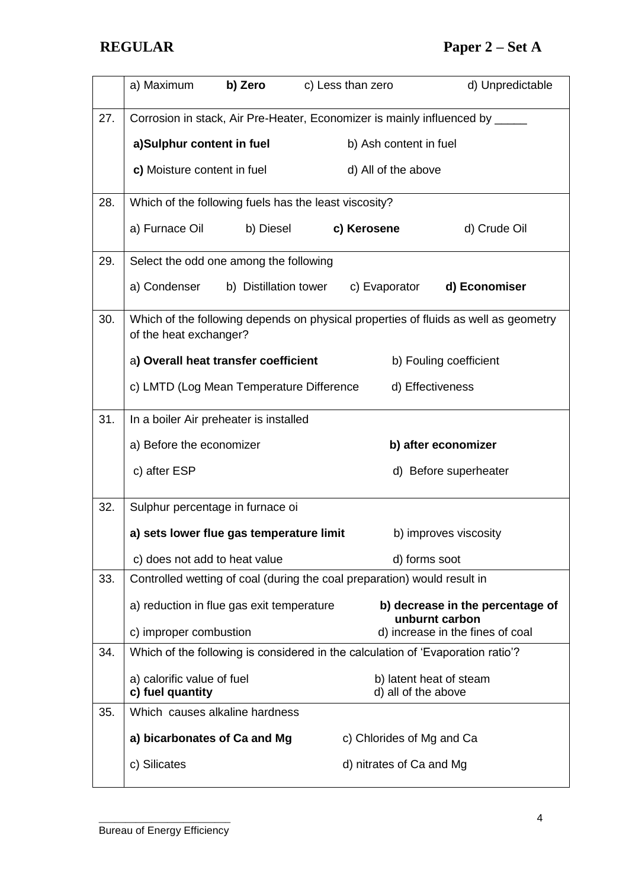|     | a) Maximum<br>b) Zero                                 | c) Less than zero<br>d) Unpredictable                                               |
|-----|-------------------------------------------------------|-------------------------------------------------------------------------------------|
| 27. |                                                       | Corrosion in stack, Air Pre-Heater, Economizer is mainly influenced by _____        |
|     | a)Sulphur content in fuel                             | b) Ash content in fuel                                                              |
|     | c) Moisture content in fuel                           | d) All of the above                                                                 |
| 28. | Which of the following fuels has the least viscosity? |                                                                                     |
|     | a) Furnace Oil<br>b) Diesel                           | c) Kerosene<br>d) Crude Oil                                                         |
| 29. | Select the odd one among the following                |                                                                                     |
|     | a) Condenser                                          | b) Distillation tower c) Evaporator<br>d) Economiser                                |
| 30. | of the heat exchanger?                                | Which of the following depends on physical properties of fluids as well as geometry |
|     | a) Overall heat transfer coefficient                  | b) Fouling coefficient                                                              |
|     | c) LMTD (Log Mean Temperature Difference              | d) Effectiveness                                                                    |
| 31. | In a boiler Air preheater is installed                |                                                                                     |
|     | a) Before the economizer                              | b) after economizer                                                                 |
|     | c) after ESP                                          | d) Before superheater                                                               |
| 32. | Sulphur percentage in furnace oi                      |                                                                                     |
|     | a) sets lower flue gas temperature limit              | b) improves viscosity                                                               |
|     | c) does not add to heat value                         | d) forms soot                                                                       |
| 33. |                                                       | Controlled wetting of coal (during the coal preparation) would result in            |
|     | a) reduction in flue gas exit temperature             | b) decrease in the percentage of<br>unburnt carbon                                  |
|     | c) improper combustion                                | d) increase in the fines of coal                                                    |
| 34. |                                                       | Which of the following is considered in the calculation of 'Evaporation ratio'?     |
|     | a) calorific value of fuel<br>c) fuel quantity        | b) latent heat of steam<br>d) all of the above                                      |
| 35. | Which causes alkaline hardness                        |                                                                                     |
|     | a) bicarbonates of Ca and Mg                          | c) Chlorides of Mg and Ca                                                           |
|     | c) Silicates                                          | d) nitrates of Ca and Mg                                                            |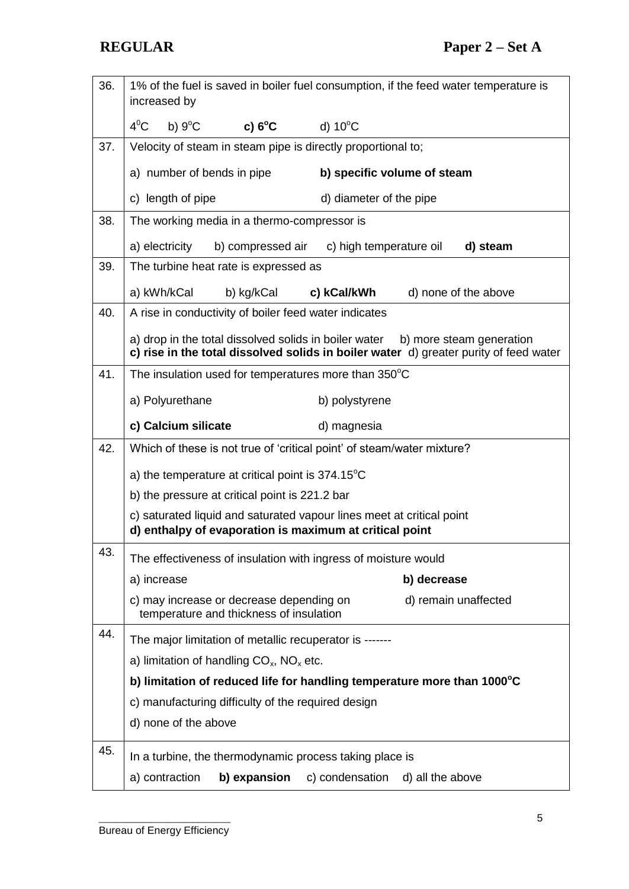| 36. | 1% of the fuel is saved in boiler fuel consumption, if the feed water temperature is<br>increased by                             |                                                                                                                   |  |  |  |
|-----|----------------------------------------------------------------------------------------------------------------------------------|-------------------------------------------------------------------------------------------------------------------|--|--|--|
|     | $4^0$ C<br>b) $9^{\circ}$ C<br>c) $6^{\circ}$ C                                                                                  | d) $10^{\circ}$ C                                                                                                 |  |  |  |
| 37. | Velocity of steam in steam pipe is directly proportional to;                                                                     |                                                                                                                   |  |  |  |
|     | a) number of bends in pipe                                                                                                       | b) specific volume of steam                                                                                       |  |  |  |
|     | c) length of pipe                                                                                                                | d) diameter of the pipe                                                                                           |  |  |  |
| 38. | The working media in a thermo-compressor is                                                                                      |                                                                                                                   |  |  |  |
|     | a) electricity<br>b) compressed air                                                                                              | c) high temperature oil<br>d) steam                                                                               |  |  |  |
| 39. | The turbine heat rate is expressed as                                                                                            |                                                                                                                   |  |  |  |
|     | a) kWh/kCal<br>b) kg/kCal                                                                                                        | c) kCal/kWh<br>d) none of the above                                                                               |  |  |  |
| 40. | A rise in conductivity of boiler feed water indicates                                                                            |                                                                                                                   |  |  |  |
|     | a) drop in the total dissolved solids in boiler water                                                                            | b) more steam generation<br>c) rise in the total dissolved solids in boiler water d) greater purity of feed water |  |  |  |
| 41. | The insulation used for temperatures more than 350°C                                                                             |                                                                                                                   |  |  |  |
|     | a) Polyurethane                                                                                                                  | b) polystyrene                                                                                                    |  |  |  |
|     | c) Calcium silicate                                                                                                              | d) magnesia                                                                                                       |  |  |  |
| 42. | Which of these is not true of 'critical point' of steam/water mixture?                                                           |                                                                                                                   |  |  |  |
|     |                                                                                                                                  | a) the temperature at critical point is $374.15^{\circ}$ C                                                        |  |  |  |
|     | b) the pressure at critical point is 221.2 bar                                                                                   |                                                                                                                   |  |  |  |
|     | c) saturated liquid and saturated vapour lines meet at critical point<br>d) enthalpy of evaporation is maximum at critical point |                                                                                                                   |  |  |  |
| 43. |                                                                                                                                  |                                                                                                                   |  |  |  |
|     | The effectiveness of insulation with ingress of moisture would                                                                   |                                                                                                                   |  |  |  |
|     | a) increase                                                                                                                      | b) decrease                                                                                                       |  |  |  |
|     | c) may increase or decrease depending on<br>temperature and thickness of insulation                                              | d) remain unaffected                                                                                              |  |  |  |
| 44. | The major limitation of metallic recuperator is -------                                                                          |                                                                                                                   |  |  |  |
|     | a) limitation of handling $CO_x$ , NO <sub>x</sub> etc.                                                                          |                                                                                                                   |  |  |  |
|     | b) limitation of reduced life for handling temperature more than 1000°C                                                          |                                                                                                                   |  |  |  |
|     | c) manufacturing difficulty of the required design                                                                               |                                                                                                                   |  |  |  |
|     | d) none of the above                                                                                                             |                                                                                                                   |  |  |  |
| 45. | In a turbine, the thermodynamic process taking place is                                                                          |                                                                                                                   |  |  |  |
|     | a) contraction<br>b) expansion                                                                                                   | c) condensation<br>d) all the above                                                                               |  |  |  |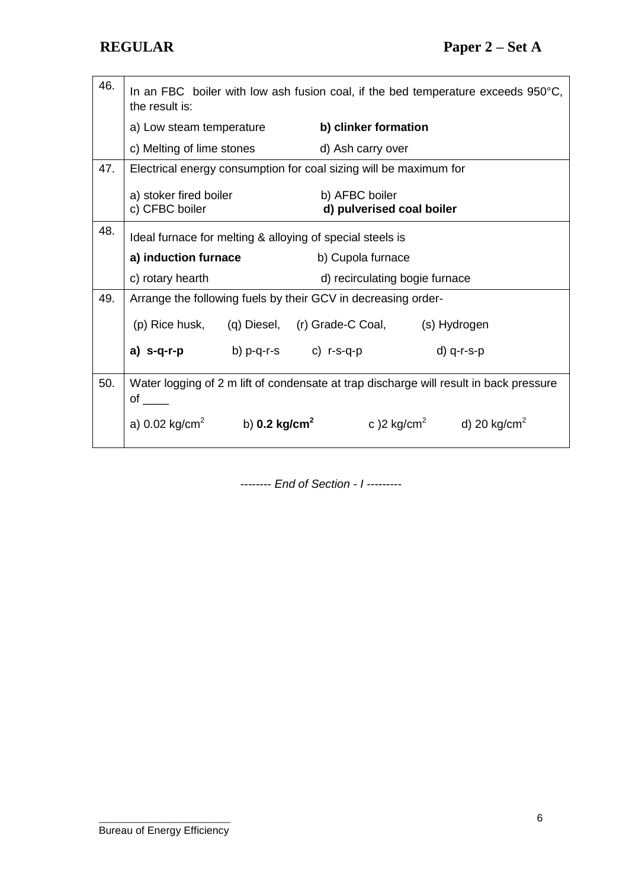| 46. | In an FBC boiler with low ash fusion coal, if the bed temperature exceeds $950^{\circ}$ C,<br>the result is: |  |                                                                   |                                                                                                              |  |
|-----|--------------------------------------------------------------------------------------------------------------|--|-------------------------------------------------------------------|--------------------------------------------------------------------------------------------------------------|--|
|     | a) Low steam temperature                                                                                     |  | b) clinker formation                                              |                                                                                                              |  |
|     | c) Melting of lime stones d) Ash carry over                                                                  |  |                                                                   |                                                                                                              |  |
| 47. |                                                                                                              |  | Electrical energy consumption for coal sizing will be maximum for |                                                                                                              |  |
|     | a) stoker fired boiler<br>c) CFBC boiler                                                                     |  |                                                                   | b) AFBC boiler<br>d) pulverised coal boiler                                                                  |  |
| 48. | Ideal furnace for melting & alloying of special steels is                                                    |  |                                                                   |                                                                                                              |  |
|     | a) induction furnace                                                                                         |  | b) Cupola furnace                                                 |                                                                                                              |  |
|     | c) rotary hearth                                                                                             |  |                                                                   | d) recirculating bogie furnace                                                                               |  |
| 49. |                                                                                                              |  | Arrange the following fuels by their GCV in decreasing order-     |                                                                                                              |  |
|     |                                                                                                              |  | (p) Rice husk, (q) Diesel, (r) Grade-C Coal, (s) Hydrogen         |                                                                                                              |  |
|     | a) s-q-r-p                                                                                                   |  |                                                                   | $d)$ q-r-s-p                                                                                                 |  |
| 50. | Water logging of 2 m lift of condensate at trap discharge will result in back pressure<br>of $\_\_$          |  |                                                                   |                                                                                                              |  |
|     |                                                                                                              |  |                                                                   | a) 0.02 kg/cm <sup>2</sup> b) <b>0.2 kg/cm<sup>2</sup> c</b> ) 2 kg/cm <sup>2</sup> d) 20 kg/cm <sup>2</sup> |  |

*-------- End of Section - I ---------*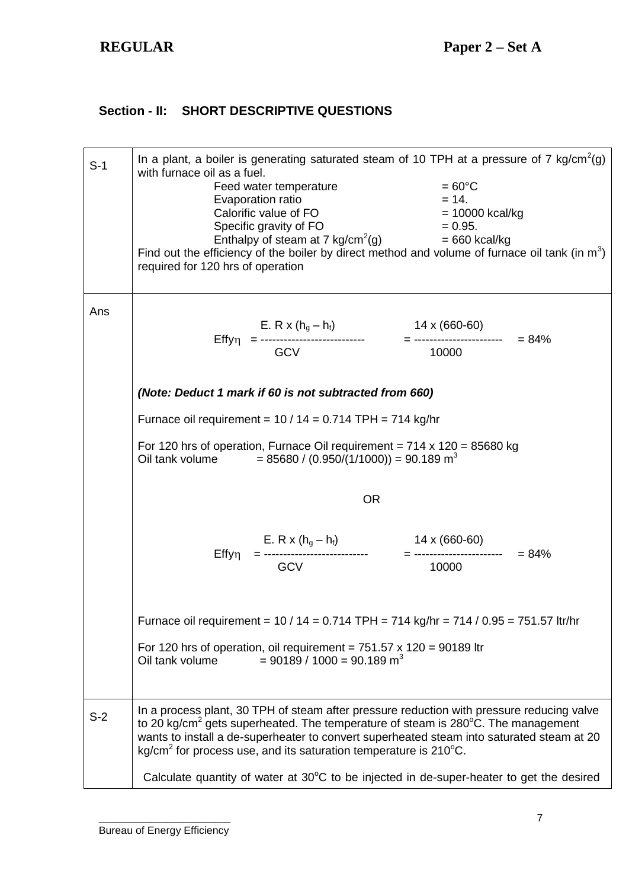## **Section - II: SHORT DESCRIPTIVE QUESTIONS**

| $S-1$ | In a plant, a boiler is generating saturated steam of 10 TPH at a pressure of 7 kg/cm <sup>2</sup> (g)<br>with furnace oil as a fuel.<br>Feed water temperature<br>Feed water temperature $= 60^{\circ}$ C<br>Evaporation ratio $= 14$ .<br>Calorific value of FO $= 10000$ kcal/kg<br>Specific gravity of FO $= 0.95$ .<br>Enthalpy of steam at 7 kg/cm <sup>2</sup> (g) $= 660$ kcal/kg<br>Find out the efficiency of the boiler by direct method and volume of furnace oil tank (in $m^3$ )<br>required for 120 hrs of operation |                                                           | $=60^{\circ}$ C                                                                                                                                                       |  |
|-------|-------------------------------------------------------------------------------------------------------------------------------------------------------------------------------------------------------------------------------------------------------------------------------------------------------------------------------------------------------------------------------------------------------------------------------------------------------------------------------------------------------------------------------------|-----------------------------------------------------------|-----------------------------------------------------------------------------------------------------------------------------------------------------------------------|--|
| Ans   |                                                                                                                                                                                                                                                                                                                                                                                                                                                                                                                                     |                                                           |                                                                                                                                                                       |  |
|       |                                                                                                                                                                                                                                                                                                                                                                                                                                                                                                                                     |                                                           |                                                                                                                                                                       |  |
|       |                                                                                                                                                                                                                                                                                                                                                                                                                                                                                                                                     | (Note: Deduct 1 mark if 60 is not subtracted from 660)    |                                                                                                                                                                       |  |
|       |                                                                                                                                                                                                                                                                                                                                                                                                                                                                                                                                     | Furnace oil requirement = $10/14 = 0.714$ TPH = 714 kg/hr |                                                                                                                                                                       |  |
|       | For 120 hrs of operation, Furnace Oil requirement = $714 \times 120 = 85680$ kg<br>Oil tank volume $= 85680 / (0.950/(1/1000)) = 90.189 \text{ m}^3$                                                                                                                                                                                                                                                                                                                                                                                |                                                           |                                                                                                                                                                       |  |
|       |                                                                                                                                                                                                                                                                                                                                                                                                                                                                                                                                     | <b>OR</b>                                                 |                                                                                                                                                                       |  |
|       |                                                                                                                                                                                                                                                                                                                                                                                                                                                                                                                                     |                                                           |                                                                                                                                                                       |  |
|       |                                                                                                                                                                                                                                                                                                                                                                                                                                                                                                                                     |                                                           |                                                                                                                                                                       |  |
|       | Oil tank volume                                                                                                                                                                                                                                                                                                                                                                                                                                                                                                                     | $= 90189 / 1000 = 90.189$ m <sup>3</sup>                  | Furnace oil requirement = 10 / 14 = 0.714 TPH = 714 kg/hr = 714 / 0.95 = 751.57 ltr/hr<br>For 120 hrs of operation, oil requirement = $751.57 \times 120 = 90189$ ltr |  |
| $S-2$ | In a process plant, 30 TPH of steam after pressure reduction with pressure reducing valve<br>to 20 kg/cm <sup>2</sup> gets superheated. The temperature of steam is 280°C. The management<br>wants to install a de-superheater to convert superheated steam into saturated steam at 20<br>kg/cm <sup>2</sup> for process use, and its saturation temperature is $210^{\circ}$ C.                                                                                                                                                    |                                                           |                                                                                                                                                                       |  |
|       |                                                                                                                                                                                                                                                                                                                                                                                                                                                                                                                                     |                                                           | Calculate quantity of water at $30^{\circ}$ C to be injected in de-super-heater to get the desired                                                                    |  |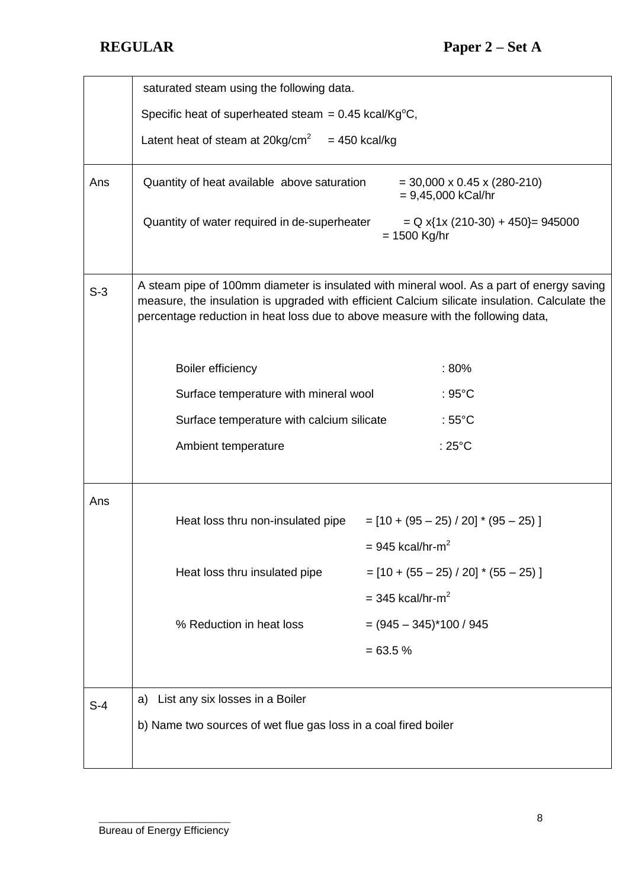|       | saturated steam using the following data.                                                                                                                                                                                                                                     |                                                        |  |  |
|-------|-------------------------------------------------------------------------------------------------------------------------------------------------------------------------------------------------------------------------------------------------------------------------------|--------------------------------------------------------|--|--|
|       | Specific heat of superheated steam = $0.45$ kcal/Kg <sup>o</sup> C,                                                                                                                                                                                                           |                                                        |  |  |
|       | Latent heat of steam at $20 \text{kg/cm}^2 = 450 \text{ kcal/kg}$                                                                                                                                                                                                             |                                                        |  |  |
| Ans   | Quantity of heat available above saturation                                                                                                                                                                                                                                   | $=$ 30,000 x 0.45 x (280-210)<br>$= 9,45,000$ kCal/hr  |  |  |
|       | Quantity of water required in de-superheater                                                                                                                                                                                                                                  | $= Q x$ {1x (210-30) + 450} = 945000<br>$= 1500$ Kg/hr |  |  |
| $S-3$ | A steam pipe of 100mm diameter is insulated with mineral wool. As a part of energy saving<br>measure, the insulation is upgraded with efficient Calcium silicate insulation. Calculate the<br>percentage reduction in heat loss due to above measure with the following data, |                                                        |  |  |
|       | <b>Boiler efficiency</b>                                                                                                                                                                                                                                                      | :80%                                                   |  |  |
|       | Surface temperature with mineral wool                                                                                                                                                                                                                                         | $:95^{\circ}$ C                                        |  |  |
|       | Surface temperature with calcium silicate                                                                                                                                                                                                                                     | : $55^{\circ}$ C                                       |  |  |
|       | Ambient temperature                                                                                                                                                                                                                                                           | : $25^{\circ}$ C                                       |  |  |
| Ans   |                                                                                                                                                                                                                                                                               |                                                        |  |  |
|       | Heat loss thru non-insulated pipe                                                                                                                                                                                                                                             | $=[10 + (95 - 25) / 20]$ * (95 - 25)]                  |  |  |
|       |                                                                                                                                                                                                                                                                               | $= 945$ kcal/hr-m <sup>2</sup>                         |  |  |
|       | Heat loss thru insulated pipe                                                                                                                                                                                                                                                 | $=[10 + (55 - 25) / 20] * (55 - 25)]$                  |  |  |
|       |                                                                                                                                                                                                                                                                               | $=$ 345 kcal/hr-m <sup>2</sup>                         |  |  |
|       | % Reduction in heat loss                                                                                                                                                                                                                                                      | $= (945 - 345)^*100 / 945$                             |  |  |
|       |                                                                                                                                                                                                                                                                               | $= 63.5 %$                                             |  |  |
| $S-4$ | List any six losses in a Boiler<br>a)                                                                                                                                                                                                                                         |                                                        |  |  |
|       | b) Name two sources of wet flue gas loss in a coal fired boiler                                                                                                                                                                                                               |                                                        |  |  |
|       |                                                                                                                                                                                                                                                                               |                                                        |  |  |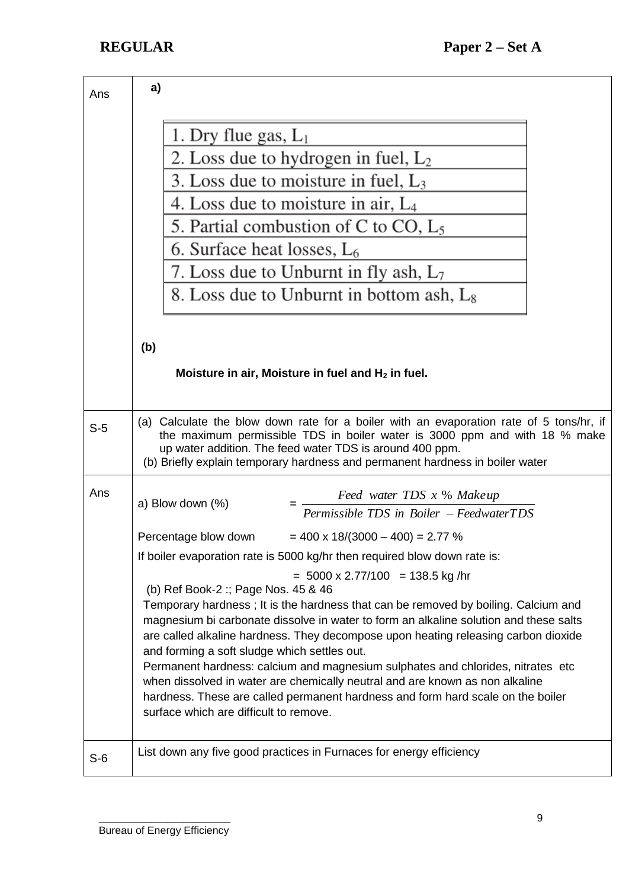| Ans   | a)                                                                                                                                                                                                                                                                                                                                                                                                                                                                                                                                                                                                                                                                                               |  |  |  |  |
|-------|--------------------------------------------------------------------------------------------------------------------------------------------------------------------------------------------------------------------------------------------------------------------------------------------------------------------------------------------------------------------------------------------------------------------------------------------------------------------------------------------------------------------------------------------------------------------------------------------------------------------------------------------------------------------------------------------------|--|--|--|--|
|       | 1. Dry flue gas, $L_1$                                                                                                                                                                                                                                                                                                                                                                                                                                                                                                                                                                                                                                                                           |  |  |  |  |
|       | 2. Loss due to hydrogen in fuel, $L_2$                                                                                                                                                                                                                                                                                                                                                                                                                                                                                                                                                                                                                                                           |  |  |  |  |
|       | 3. Loss due to moisture in fuel, $L_3$                                                                                                                                                                                                                                                                                                                                                                                                                                                                                                                                                                                                                                                           |  |  |  |  |
|       | 4. Loss due to moisture in air, $L_4$                                                                                                                                                                                                                                                                                                                                                                                                                                                                                                                                                                                                                                                            |  |  |  |  |
|       | 5. Partial combustion of C to CO, $L_5$                                                                                                                                                                                                                                                                                                                                                                                                                                                                                                                                                                                                                                                          |  |  |  |  |
|       | 6. Surface heat losses, $L_6$                                                                                                                                                                                                                                                                                                                                                                                                                                                                                                                                                                                                                                                                    |  |  |  |  |
|       | 7. Loss due to Unburnt in fly ash, $L_7$                                                                                                                                                                                                                                                                                                                                                                                                                                                                                                                                                                                                                                                         |  |  |  |  |
|       | 8. Loss due to Unburnt in bottom ash, $L_8$                                                                                                                                                                                                                                                                                                                                                                                                                                                                                                                                                                                                                                                      |  |  |  |  |
|       | (b)<br>Moisture in air, Moisture in fuel and $H_2$ in fuel.                                                                                                                                                                                                                                                                                                                                                                                                                                                                                                                                                                                                                                      |  |  |  |  |
|       |                                                                                                                                                                                                                                                                                                                                                                                                                                                                                                                                                                                                                                                                                                  |  |  |  |  |
| $S-5$ | (a) Calculate the blow down rate for a boiler with an evaporation rate of 5 tons/hr, if<br>the maximum permissible TDS in boiler water is 3000 ppm and with 18 % make<br>up water addition. The feed water TDS is around 400 ppm.<br>(b) Briefly explain temporary hardness and permanent hardness in boiler water                                                                                                                                                                                                                                                                                                                                                                               |  |  |  |  |
| Ans   | Feed water TDS x % Makeup                                                                                                                                                                                                                                                                                                                                                                                                                                                                                                                                                                                                                                                                        |  |  |  |  |
|       | a) Blow down $(\%)$<br>Permissible TDS in Boiler - FeedwaterTDS                                                                                                                                                                                                                                                                                                                                                                                                                                                                                                                                                                                                                                  |  |  |  |  |
|       | Percentage blow down<br>$= 400 \times 18/(3000 - 400) = 2.77$ %                                                                                                                                                                                                                                                                                                                                                                                                                                                                                                                                                                                                                                  |  |  |  |  |
|       | If boiler evaporation rate is 5000 kg/hr then required blow down rate is:                                                                                                                                                                                                                                                                                                                                                                                                                                                                                                                                                                                                                        |  |  |  |  |
|       | $= 5000 \times 2.77/100 = 138.5$ kg/hr<br>(b) Ref Book-2: Page Nos. 45 & 46<br>Temporary hardness; It is the hardness that can be removed by boiling. Calcium and<br>magnesium bi carbonate dissolve in water to form an alkaline solution and these salts<br>are called alkaline hardness. They decompose upon heating releasing carbon dioxide<br>and forming a soft sludge which settles out.<br>Permanent hardness: calcium and magnesium sulphates and chlorides, nitrates etc<br>when dissolved in water are chemically neutral and are known as non alkaline<br>hardness. These are called permanent hardness and form hard scale on the boiler<br>surface which are difficult to remove. |  |  |  |  |
| $S-6$ | List down any five good practices in Furnaces for energy efficiency                                                                                                                                                                                                                                                                                                                                                                                                                                                                                                                                                                                                                              |  |  |  |  |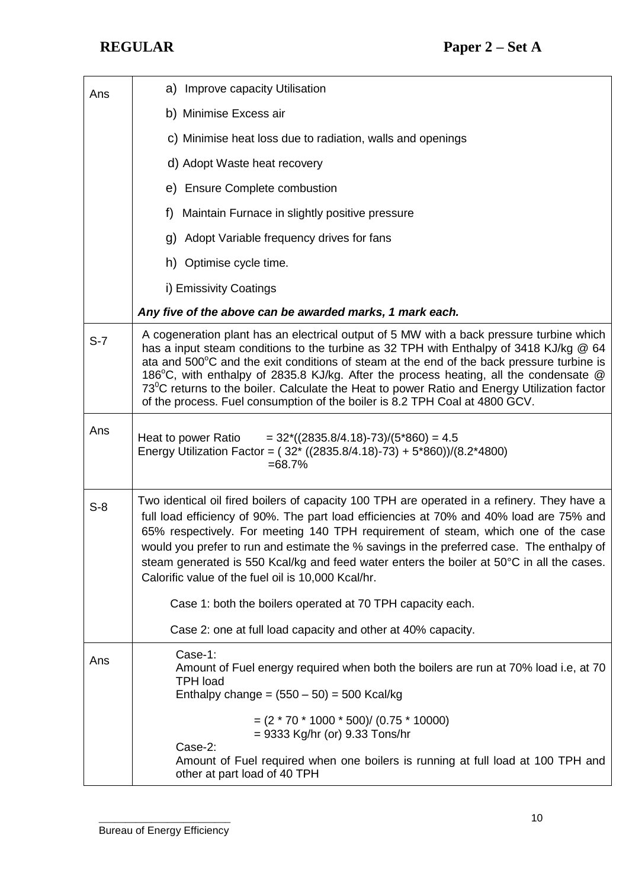| Ans   | a) Improve capacity Utilisation                                                                                                                                                                                                                                                                                                                                                                                                                                                                                                                                      |  |  |
|-------|----------------------------------------------------------------------------------------------------------------------------------------------------------------------------------------------------------------------------------------------------------------------------------------------------------------------------------------------------------------------------------------------------------------------------------------------------------------------------------------------------------------------------------------------------------------------|--|--|
|       | b) Minimise Excess air                                                                                                                                                                                                                                                                                                                                                                                                                                                                                                                                               |  |  |
|       | c) Minimise heat loss due to radiation, walls and openings                                                                                                                                                                                                                                                                                                                                                                                                                                                                                                           |  |  |
|       | d) Adopt Waste heat recovery                                                                                                                                                                                                                                                                                                                                                                                                                                                                                                                                         |  |  |
|       | e) Ensure Complete combustion                                                                                                                                                                                                                                                                                                                                                                                                                                                                                                                                        |  |  |
|       | Maintain Furnace in slightly positive pressure<br>f)                                                                                                                                                                                                                                                                                                                                                                                                                                                                                                                 |  |  |
|       | Adopt Variable frequency drives for fans<br>g)                                                                                                                                                                                                                                                                                                                                                                                                                                                                                                                       |  |  |
|       | h) Optimise cycle time.                                                                                                                                                                                                                                                                                                                                                                                                                                                                                                                                              |  |  |
|       | i) Emissivity Coatings                                                                                                                                                                                                                                                                                                                                                                                                                                                                                                                                               |  |  |
|       | Any five of the above can be awarded marks, 1 mark each.                                                                                                                                                                                                                                                                                                                                                                                                                                                                                                             |  |  |
| $S-7$ | A cogeneration plant has an electrical output of 5 MW with a back pressure turbine which<br>has a input steam conditions to the turbine as 32 TPH with Enthalpy of 3418 KJ/kg @ 64<br>ata and $500^{\circ}$ C and the exit conditions of steam at the end of the back pressure turbine is<br>186°C, with enthalpy of 2835.8 KJ/kg. After the process heating, all the condensate @<br>$73^0$ C returns to the boiler. Calculate the Heat to power Ratio and Energy Utilization factor<br>of the process. Fuel consumption of the boiler is 8.2 TPH Coal at 4800 GCV. |  |  |
| Ans   | Heat to power Ratio<br>$= 32*(2835.8/4.18)-73/(5*860) = 4.5$<br>Energy Utilization Factor = $(32*(2835.8/4.18)-73) + 5*860)/(8.2*4800)$<br>$= 68.7\%$                                                                                                                                                                                                                                                                                                                                                                                                                |  |  |
| $S-8$ | Two identical oil fired boilers of capacity 100 TPH are operated in a refinery. They have a<br>full load efficiency of 90%. The part load efficiencies at 70% and 40% load are 75% and<br>65% respectively. For meeting 140 TPH requirement of steam, which one of the case<br>would you prefer to run and estimate the % savings in the preferred case. The enthalpy of<br>steam generated is 550 Kcal/kg and feed water enters the boiler at 50°C in all the cases.<br>Calorific value of the fuel oil is 10,000 Kcal/hr.                                          |  |  |
|       | Case 1: both the boilers operated at 70 TPH capacity each.                                                                                                                                                                                                                                                                                                                                                                                                                                                                                                           |  |  |
|       | Case 2: one at full load capacity and other at 40% capacity.                                                                                                                                                                                                                                                                                                                                                                                                                                                                                                         |  |  |
| Ans   | Case-1:<br>Amount of Fuel energy required when both the boilers are run at 70% load i.e, at 70<br><b>TPH load</b><br>Enthalpy change = $(550 – 50) = 500$ Kcal/kg                                                                                                                                                                                                                                                                                                                                                                                                    |  |  |
|       | $=(2 * 70 * 1000 * 500) / (0.75 * 10000)$<br>= 9333 Kg/hr (or) 9.33 Tons/hr                                                                                                                                                                                                                                                                                                                                                                                                                                                                                          |  |  |
|       | Case-2:<br>Amount of Fuel required when one boilers is running at full load at 100 TPH and<br>other at part load of 40 TPH                                                                                                                                                                                                                                                                                                                                                                                                                                           |  |  |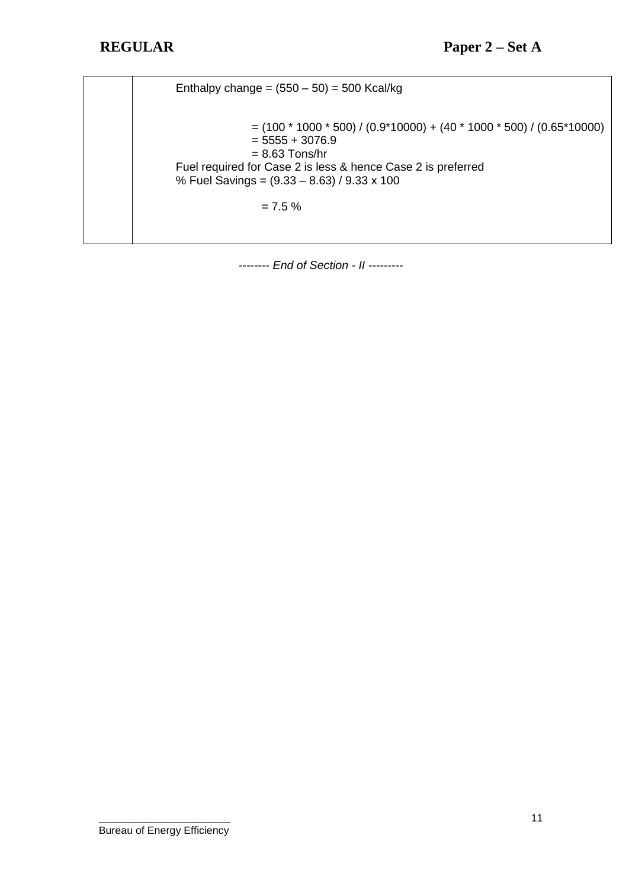| Enthalpy change = $(550 – 50) = 500$ Kcal/kg                                                                                                                                                                                                           |
|--------------------------------------------------------------------------------------------------------------------------------------------------------------------------------------------------------------------------------------------------------|
| $=$ (100 $*$ 1000 $*$ 500) / (0.9 $*$ 10000) + (40 $*$ 1000 $*$ 500) / (0.65 $*$ 10000)<br>$= 5555 + 3076.9$<br>$= 8.63$ Tons/hr<br>Fuel required for Case 2 is less & hence Case 2 is preferred<br>% Fuel Savings = $(9.33 - 8.63) / 9.33 \times 100$ |
| $= 7.5 \%$                                                                                                                                                                                                                                             |
|                                                                                                                                                                                                                                                        |

*-------- End of Section - II ---------*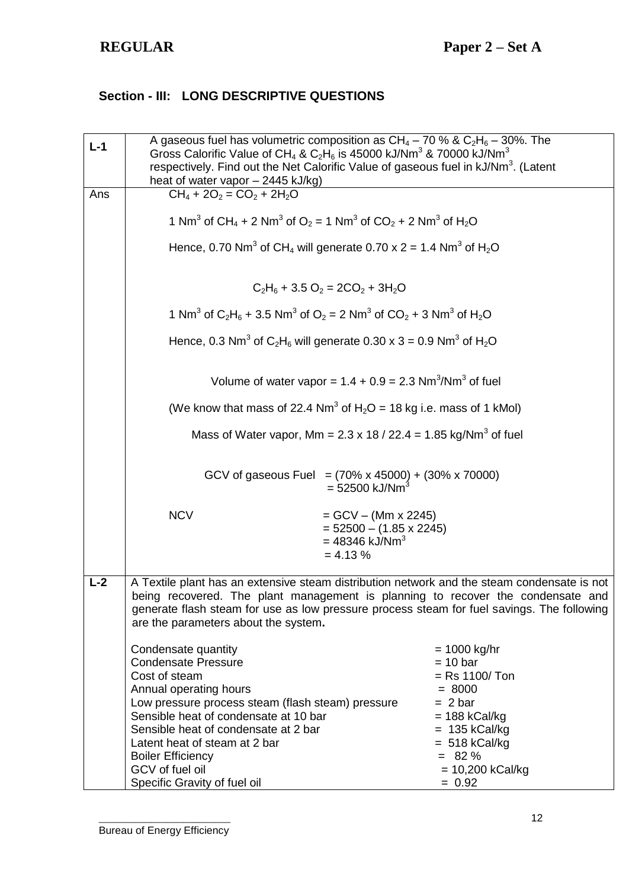## **Section - III: LONG DESCRIPTIVE QUESTIONS**

| $L-1$ | A gaseous fuel has volumetric composition as $CH_4 - 70$ % & $C_2H_6 - 30$ %. The<br>Gross Calorific Value of CH <sub>4</sub> & C <sub>2</sub> H <sub>6</sub> is 45000 kJ/Nm <sup>3</sup> & 70000 kJ/Nm <sup>3</sup><br>respectively. Find out the Net Calorific Value of gaseous fuel in kJ/Nm <sup>3</sup> . (Latent<br>heat of water vapor - 2445 kJ/kg) |                                                                                                                 |                                                                          |  |
|-------|-------------------------------------------------------------------------------------------------------------------------------------------------------------------------------------------------------------------------------------------------------------------------------------------------------------------------------------------------------------|-----------------------------------------------------------------------------------------------------------------|--------------------------------------------------------------------------|--|
| Ans   | $CH_4 + 2O_2 = CO_2 + 2H_2O$                                                                                                                                                                                                                                                                                                                                |                                                                                                                 |                                                                          |  |
|       | 1 Nm <sup>3</sup> of CH <sub>4</sub> + 2 Nm <sup>3</sup> of O <sub>2</sub> = 1 Nm <sup>3</sup> of CO <sub>2</sub> + 2 Nm <sup>3</sup> of H <sub>2</sub> O                                                                                                                                                                                                   |                                                                                                                 |                                                                          |  |
|       |                                                                                                                                                                                                                                                                                                                                                             | Hence, 0.70 Nm <sup>3</sup> of CH <sub>4</sub> will generate 0.70 x 2 = 1.4 Nm <sup>3</sup> of H <sub>2</sub> O |                                                                          |  |
|       |                                                                                                                                                                                                                                                                                                                                                             | $C_2H_6 + 3.5O_2 = 2CO_2 + 3H_2O$                                                                               |                                                                          |  |
|       | 1 Nm <sup>3</sup> of C <sub>2</sub> H <sub>6</sub> + 3.5 Nm <sup>3</sup> of O <sub>2</sub> = 2 Nm <sup>3</sup> of CO <sub>2</sub> + 3 Nm <sup>3</sup> of H <sub>2</sub> O                                                                                                                                                                                   |                                                                                                                 |                                                                          |  |
|       | Hence, 0.3 Nm <sup>3</sup> of C <sub>2</sub> H <sub>6</sub> will generate 0.30 x 3 = 0.9 Nm <sup>3</sup> of H <sub>2</sub> O                                                                                                                                                                                                                                |                                                                                                                 |                                                                          |  |
|       | Volume of water vapor = $1.4 + 0.9 = 2.3$ Nm <sup>3</sup> /Nm <sup>3</sup> of fuel                                                                                                                                                                                                                                                                          |                                                                                                                 |                                                                          |  |
|       | (We know that mass of 22.4 Nm <sup>3</sup> of H <sub>2</sub> O = 18 kg i.e. mass of 1 kMol)                                                                                                                                                                                                                                                                 |                                                                                                                 |                                                                          |  |
|       | Mass of Water vapor, Mm = $2.3 \times 18 / 22.4 = 1.85 \text{ kg/Nm}^3$ of fuel                                                                                                                                                                                                                                                                             |                                                                                                                 |                                                                          |  |
|       | GCV of gaseous Fuel = $(70\% \times 45000)$ + $(30\% \times 70000)$<br>$= 52500$ kJ/Nm <sup>3</sup>                                                                                                                                                                                                                                                         |                                                                                                                 |                                                                          |  |
|       | <b>NCV</b>                                                                                                                                                                                                                                                                                                                                                  | $=$ GCV $-$ (Mm x 2245)<br>$= 52500 - (1.85 \times 2245)$<br>$= 48346$ kJ/Nm <sup>3</sup><br>$= 4.13 %$         |                                                                          |  |
| $L-2$ | A Textile plant has an extensive steam distribution network and the steam condensate is not<br>being recovered. The plant management is planning to recover the condensate and<br>generate flash steam for use as low pressure process steam for fuel savings. The following<br>are the parameters about the system.                                        |                                                                                                                 |                                                                          |  |
|       | Condensate quantity<br><b>Condensate Pressure</b><br>Cost of steam<br>Annual operating hours<br>Low pressure process steam (flash steam) pressure                                                                                                                                                                                                           |                                                                                                                 | $= 1000$ kg/hr<br>$= 10$ bar<br>$=$ Rs 1100/Ton<br>$= 8000$<br>$= 2 bar$ |  |
|       | Sensible heat of condensate at 10 bar<br>Sensible heat of condensate at 2 bar                                                                                                                                                                                                                                                                               |                                                                                                                 | $= 188$ kCal/kg<br>$= 135$ kCal/kg                                       |  |
|       | Latent heat of steam at 2 bar                                                                                                                                                                                                                                                                                                                               |                                                                                                                 | $= 518$ kCal/kg                                                          |  |
|       | <b>Boiler Efficiency</b>                                                                                                                                                                                                                                                                                                                                    |                                                                                                                 | $= 82 \%$                                                                |  |
|       | GCV of fuel oil                                                                                                                                                                                                                                                                                                                                             |                                                                                                                 | $= 10,200$ kCal/kg                                                       |  |
|       | Specific Gravity of fuel oil                                                                                                                                                                                                                                                                                                                                |                                                                                                                 | $= 0.92$                                                                 |  |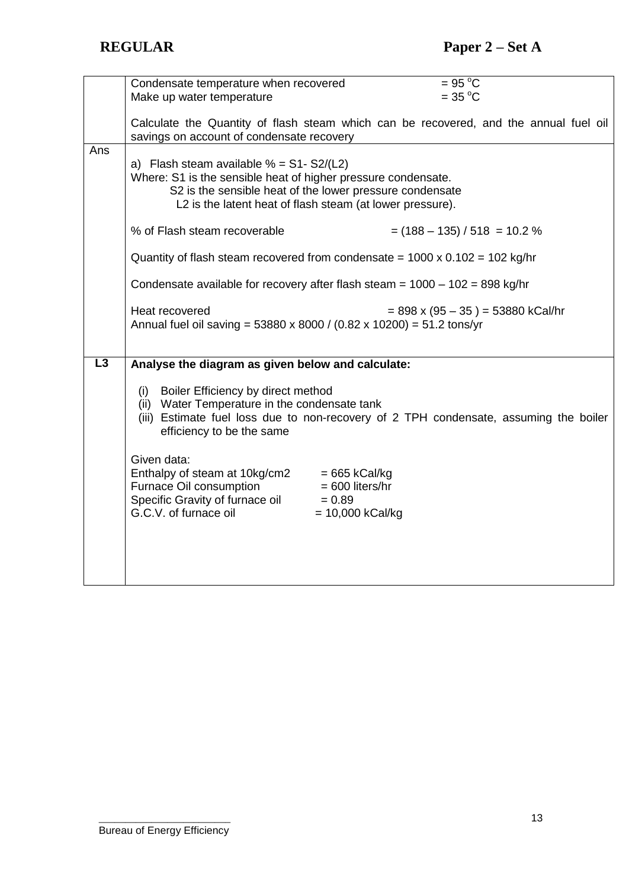|                 | Condensate temperature when recovered                                               |                    | $= 95 °C$                                                                             |
|-----------------|-------------------------------------------------------------------------------------|--------------------|---------------------------------------------------------------------------------------|
|                 | Make up water temperature                                                           |                    | $=$ 35 °C                                                                             |
|                 |                                                                                     |                    |                                                                                       |
|                 |                                                                                     |                    |                                                                                       |
|                 |                                                                                     |                    | Calculate the Quantity of flash steam which can be recovered, and the annual fuel oil |
|                 | savings on account of condensate recovery                                           |                    |                                                                                       |
| Ans             |                                                                                     |                    |                                                                                       |
|                 | a) Flash steam available $% = S1-S2/(L2)$                                           |                    |                                                                                       |
|                 | Where: S1 is the sensible heat of higher pressure condensate.                       |                    |                                                                                       |
|                 |                                                                                     |                    |                                                                                       |
|                 | S2 is the sensible heat of the lower pressure condensate                            |                    |                                                                                       |
|                 | L2 is the latent heat of flash steam (at lower pressure).                           |                    |                                                                                       |
|                 |                                                                                     |                    |                                                                                       |
|                 | % of Flash steam recoverable                                                        |                    | $=$ (188 – 135) / 518 = 10.2 %                                                        |
|                 |                                                                                     |                    |                                                                                       |
|                 |                                                                                     |                    |                                                                                       |
|                 | Quantity of flash steam recovered from condensate = $1000 \times 0.102 = 102$ kg/hr |                    |                                                                                       |
|                 |                                                                                     |                    |                                                                                       |
|                 | Condensate available for recovery after flash steam = $1000 - 102 = 898$ kg/hr      |                    |                                                                                       |
|                 |                                                                                     |                    |                                                                                       |
|                 | Heat recovered                                                                      |                    | $= 898 \times (95 - 35) = 53880 \text{ kCal/hr}$                                      |
|                 | Annual fuel oil saving = 53880 x 8000 / (0.82 x 10200) = 51.2 tons/yr               |                    |                                                                                       |
|                 |                                                                                     |                    |                                                                                       |
|                 |                                                                                     |                    |                                                                                       |
|                 |                                                                                     |                    |                                                                                       |
|                 |                                                                                     |                    |                                                                                       |
| $\overline{L3}$ | Analyse the diagram as given below and calculate:                                   |                    |                                                                                       |
|                 |                                                                                     |                    |                                                                                       |
|                 | (i) Boiler Efficiency by direct method                                              |                    |                                                                                       |
|                 |                                                                                     |                    |                                                                                       |
|                 | (ii) Water Temperature in the condensate tank                                       |                    |                                                                                       |
|                 |                                                                                     |                    | (iii) Estimate fuel loss due to non-recovery of 2 TPH condensate, assuming the boiler |
|                 | efficiency to be the same                                                           |                    |                                                                                       |
|                 |                                                                                     |                    |                                                                                       |
|                 | Given data:                                                                         |                    |                                                                                       |
|                 |                                                                                     |                    |                                                                                       |
|                 | Enthalpy of steam at 10kg/cm2                                                       | $= 665$ kCal/kg    |                                                                                       |
|                 | Furnace Oil consumption                                                             | $= 600$ liters/hr  |                                                                                       |
|                 | Specific Gravity of furnace oil                                                     | $= 0.89$           |                                                                                       |
|                 | G.C.V. of furnace oil                                                               | $= 10,000$ kCal/kg |                                                                                       |
|                 |                                                                                     |                    |                                                                                       |
|                 |                                                                                     |                    |                                                                                       |
|                 |                                                                                     |                    |                                                                                       |
|                 |                                                                                     |                    |                                                                                       |
|                 |                                                                                     |                    |                                                                                       |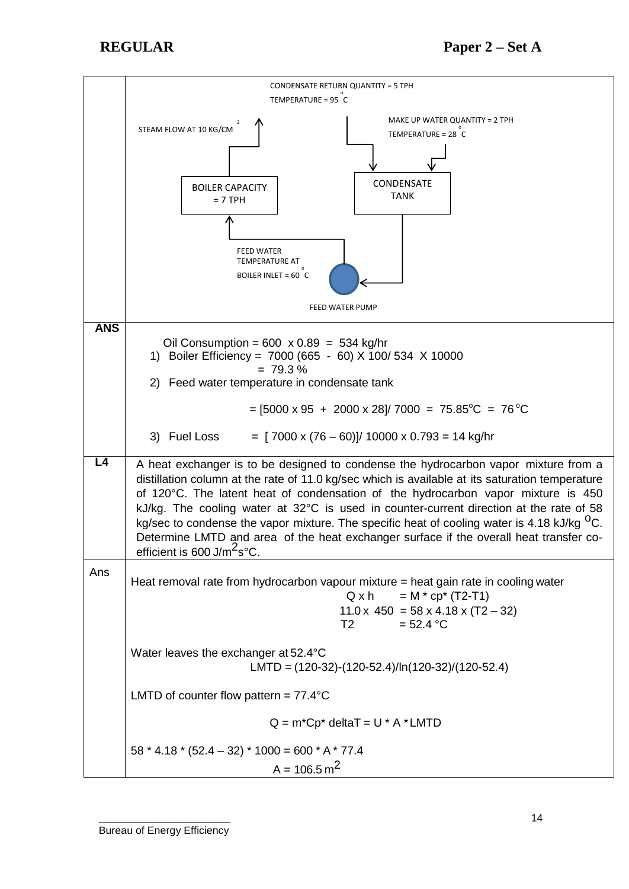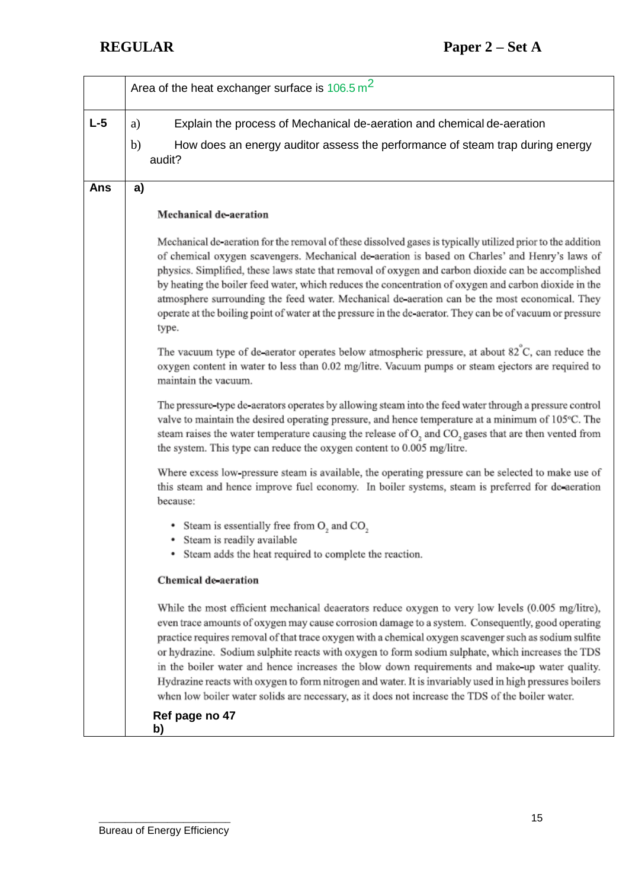# **REGULAR Paper 2 – Set A**

|       | Area of the heat exchanger surface is $106.5 \text{ m}^2$                                                                                                                                                                                                                                                                                                                                                                                                                                                                                                                                                                                                                                                                              |  |  |
|-------|----------------------------------------------------------------------------------------------------------------------------------------------------------------------------------------------------------------------------------------------------------------------------------------------------------------------------------------------------------------------------------------------------------------------------------------------------------------------------------------------------------------------------------------------------------------------------------------------------------------------------------------------------------------------------------------------------------------------------------------|--|--|
| $L-5$ | Explain the process of Mechanical de-aeration and chemical de-aeration<br>a)                                                                                                                                                                                                                                                                                                                                                                                                                                                                                                                                                                                                                                                           |  |  |
|       | b)<br>How does an energy auditor assess the performance of steam trap during energy<br>audit?                                                                                                                                                                                                                                                                                                                                                                                                                                                                                                                                                                                                                                          |  |  |
| Ans   | a)                                                                                                                                                                                                                                                                                                                                                                                                                                                                                                                                                                                                                                                                                                                                     |  |  |
|       | Mechanical de-aeration                                                                                                                                                                                                                                                                                                                                                                                                                                                                                                                                                                                                                                                                                                                 |  |  |
|       | Mechanical de-aeration for the removal of these dissolved gases is typically utilized prior to the addition<br>of chemical oxygen scavengers. Mechanical de-aeration is based on Charles' and Henry's laws of<br>physics. Simplified, these laws state that removal of oxygen and carbon dioxide can be accomplished<br>by heating the boiler feed water, which reduces the concentration of oxygen and carbon dioxide in the<br>atmosphere surrounding the feed water. Mechanical de-aeration can be the most economical. They<br>operate at the boiling point of water at the pressure in the de-aerator. They can be of vacuum or pressure<br>type.                                                                                 |  |  |
|       | The vacuum type of de-aerator operates below atmospheric pressure, at about $82^{\circ}$ C, can reduce the<br>oxygen content in water to less than 0.02 mg/litre. Vacuum pumps or steam ejectors are required to<br>maintain the vacuum.                                                                                                                                                                                                                                                                                                                                                                                                                                                                                               |  |  |
|       | The pressure-type de-aerators operates by allowing steam into the feed water through a pressure control<br>valve to maintain the desired operating pressure, and hence temperature at a minimum of 105°C. The<br>steam raises the water temperature causing the release of O <sub>2</sub> and CO <sub>2</sub> gases that are then vented from<br>the system. This type can reduce the oxygen content to 0.005 mg/litre.                                                                                                                                                                                                                                                                                                                |  |  |
|       | Where excess low-pressure steam is available, the operating pressure can be selected to make use of<br>this steam and hence improve fuel economy. In boiler systems, steam is preferred for de-aeration<br>because:                                                                                                                                                                                                                                                                                                                                                                                                                                                                                                                    |  |  |
|       | • Steam is essentially free from $O_2$ and $CO_2$                                                                                                                                                                                                                                                                                                                                                                                                                                                                                                                                                                                                                                                                                      |  |  |
|       | • Steam is readily available<br>Steam adds the heat required to complete the reaction.                                                                                                                                                                                                                                                                                                                                                                                                                                                                                                                                                                                                                                                 |  |  |
|       | <b>Chemical de-aeration</b>                                                                                                                                                                                                                                                                                                                                                                                                                                                                                                                                                                                                                                                                                                            |  |  |
|       | While the most efficient mechanical deaerators reduce oxygen to very low levels (0.005 mg/litre),<br>even trace amounts of oxygen may cause corrosion damage to a system. Consequently, good operating<br>practice requires removal of that trace oxygen with a chemical oxygen scavenger such as sodium sulfite<br>or hydrazine. Sodium sulphite reacts with oxygen to form sodium sulphate, which increases the TDS<br>in the boiler water and hence increases the blow down requirements and make-up water quality.<br>Hydrazine reacts with oxygen to form nitrogen and water. It is invariably used in high pressures boilers<br>when low boiler water solids are necessary, as it does not increase the TDS of the boiler water. |  |  |
|       | Ref page no 47<br>b)                                                                                                                                                                                                                                                                                                                                                                                                                                                                                                                                                                                                                                                                                                                   |  |  |